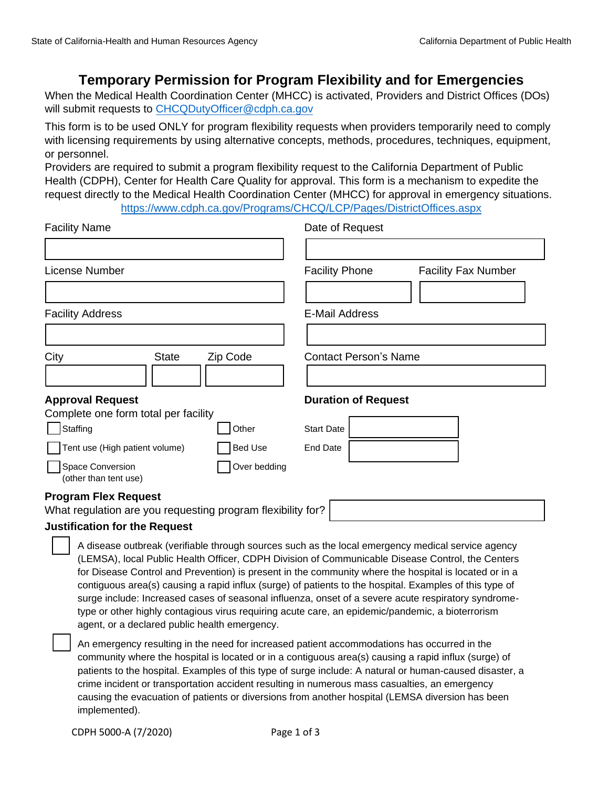## **Temporary Permission for Program Flexibility and for Emergencies**

 When the Medical Health Coordination Center (MHCC) is activated, Providers and District Offices (DOs) will submit requests to CHCQDutyOfficer@cdph.ca.gov

 This form is to be used ONLY for program flexibility requests when providers temporarily need to comply with licensing requirements by using alternative concepts, methods, procedures, techniques, equipment, or personnel.

 Providers are required to submit a program flexibility request to the California Department of Public Health (CDPH), Center for Health Care Quality for approval. This form is a mechanism to expedite the request directly to the Medical Health Coordination Center (MHCC) for approval in emergency situations. <https://www.cdph.ca.gov/Programs/CHCQ/LCP/Pages/DistrictOffices.aspx>

| <b>Facility Name</b>                                        |  |                                               | Date of Request                                     |                                                                                                                                                                                                       |  |  |
|-------------------------------------------------------------|--|-----------------------------------------------|-----------------------------------------------------|-------------------------------------------------------------------------------------------------------------------------------------------------------------------------------------------------------|--|--|
|                                                             |  |                                               |                                                     |                                                                                                                                                                                                       |  |  |
| License Number                                              |  |                                               | <b>Facility Phone</b><br><b>Facility Fax Number</b> |                                                                                                                                                                                                       |  |  |
|                                                             |  |                                               |                                                     |                                                                                                                                                                                                       |  |  |
| <b>Facility Address</b>                                     |  |                                               | <b>E-Mail Address</b>                               |                                                                                                                                                                                                       |  |  |
|                                                             |  |                                               |                                                     |                                                                                                                                                                                                       |  |  |
| City<br><b>State</b><br>Zip Code                            |  |                                               | <b>Contact Person's Name</b>                        |                                                                                                                                                                                                       |  |  |
|                                                             |  |                                               |                                                     |                                                                                                                                                                                                       |  |  |
| <b>Approval Request</b>                                     |  |                                               | <b>Duration of Request</b>                          |                                                                                                                                                                                                       |  |  |
| Complete one form total per facility                        |  |                                               |                                                     |                                                                                                                                                                                                       |  |  |
| Staffing                                                    |  | Other                                         | <b>Start Date</b>                                   |                                                                                                                                                                                                       |  |  |
| Tent use (High patient volume)                              |  | <b>Bed Use</b>                                | <b>End Date</b>                                     |                                                                                                                                                                                                       |  |  |
| Space Conversion<br>(other than tent use)                   |  | Over bedding                                  |                                                     |                                                                                                                                                                                                       |  |  |
| <b>Program Flex Request</b>                                 |  |                                               |                                                     |                                                                                                                                                                                                       |  |  |
| What regulation are you requesting program flexibility for? |  |                                               |                                                     |                                                                                                                                                                                                       |  |  |
| <b>Justification for the Request</b>                        |  |                                               |                                                     |                                                                                                                                                                                                       |  |  |
|                                                             |  |                                               |                                                     | A disease outbreak (verifiable through sources such as the local emergency medical service agency<br>(LEMSA), local Public Health Officer, CDPH Division of Communicable Disease Control, the Centers |  |  |
|                                                             |  |                                               |                                                     | for Disease Control and Prevention) is present in the community where the hospital is located or in a                                                                                                 |  |  |
|                                                             |  |                                               |                                                     | contiguous area(s) causing a rapid influx (surge) of patients to the hospital. Examples of this type of                                                                                               |  |  |
|                                                             |  |                                               |                                                     | surge include: Increased cases of seasonal influenza, onset of a severe acute respiratory syndrome-                                                                                                   |  |  |
|                                                             |  | agent, or a declared public health emergency. |                                                     | type or other highly contagious virus requiring acute care, an epidemic/pandemic, a bioterrorism                                                                                                      |  |  |
|                                                             |  |                                               |                                                     | An emergency resulting in the need for increased patient accommodations has occurred in the<br>community where the boenital is located or in a contiguous area(s) causing a rapid influx (surge) of   |  |  |

 community where the hospital is located or in a contiguous area(s) causing a rapid influx (surge) of causing the evacuation of patients or diversions from another hospital (LEMSA diversion has been patients to the hospital. Examples of this type of surge include: A natural or human-caused disaster, a crime incident or transportation accident resulting in numerous mass casualties, an emergency implemented).

CDPH 5000-A (7/2020) Page 1 of 3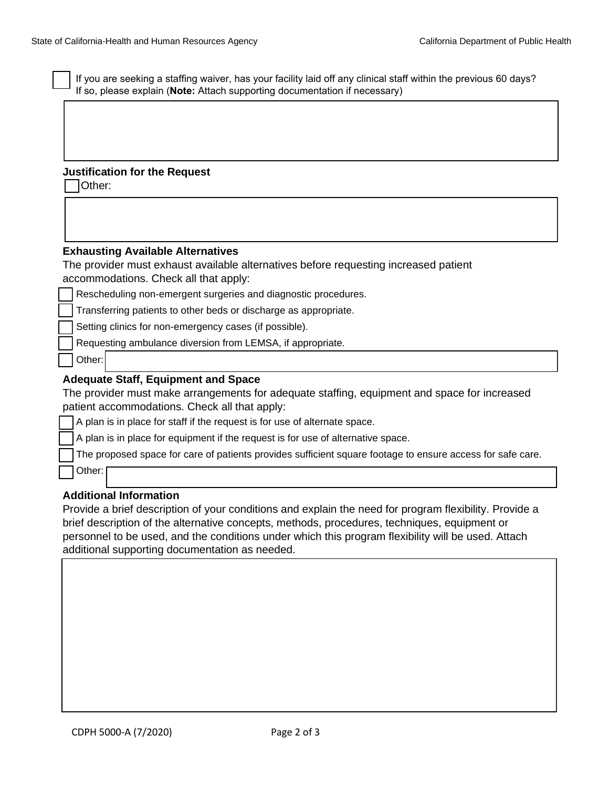| If you are seeking a staffing waiver, has your facility laid off any clinical staff within the previous 60 days?<br>If so, please explain (Note: Attach supporting documentation if necessary) |  |  |  |  |  |  |
|------------------------------------------------------------------------------------------------------------------------------------------------------------------------------------------------|--|--|--|--|--|--|
|                                                                                                                                                                                                |  |  |  |  |  |  |
|                                                                                                                                                                                                |  |  |  |  |  |  |
|                                                                                                                                                                                                |  |  |  |  |  |  |
|                                                                                                                                                                                                |  |  |  |  |  |  |
| <b>Justification for the Request</b><br>Other:                                                                                                                                                 |  |  |  |  |  |  |
|                                                                                                                                                                                                |  |  |  |  |  |  |
|                                                                                                                                                                                                |  |  |  |  |  |  |
|                                                                                                                                                                                                |  |  |  |  |  |  |
| <b>Exhausting Available Alternatives</b>                                                                                                                                                       |  |  |  |  |  |  |
| The provider must exhaust available alternatives before requesting increased patient                                                                                                           |  |  |  |  |  |  |
| accommodations. Check all that apply:                                                                                                                                                          |  |  |  |  |  |  |
| Rescheduling non-emergent surgeries and diagnostic procedures.                                                                                                                                 |  |  |  |  |  |  |
| Transferring patients to other beds or discharge as appropriate.                                                                                                                               |  |  |  |  |  |  |
| Setting clinics for non-emergency cases (if possible).                                                                                                                                         |  |  |  |  |  |  |
| Requesting ambulance diversion from LEMSA, if appropriate.                                                                                                                                     |  |  |  |  |  |  |
| Other:                                                                                                                                                                                         |  |  |  |  |  |  |
| <b>Adequate Staff, Equipment and Space</b>                                                                                                                                                     |  |  |  |  |  |  |
| The provider must make arrangements for adequate staffing, equipment and space for increased                                                                                                   |  |  |  |  |  |  |
| patient accommodations. Check all that apply:                                                                                                                                                  |  |  |  |  |  |  |
| A plan is in place for staff if the request is for use of alternate space.                                                                                                                     |  |  |  |  |  |  |
| A plan is in place for equipment if the request is for use of alternative space.                                                                                                               |  |  |  |  |  |  |
| The proposed space for care of patients provides sufficient square footage to ensure access for safe care.                                                                                     |  |  |  |  |  |  |
| Other:                                                                                                                                                                                         |  |  |  |  |  |  |
|                                                                                                                                                                                                |  |  |  |  |  |  |

## **Additional Information**

 Provide a brief description of your conditions and explain the need for program flexibility. Provide a brief description of the alternative concepts, methods, procedures, techniques, equipment or personnel to be used, and the conditions under which this program flexibility will be used. Attach additional supporting documentation as needed.